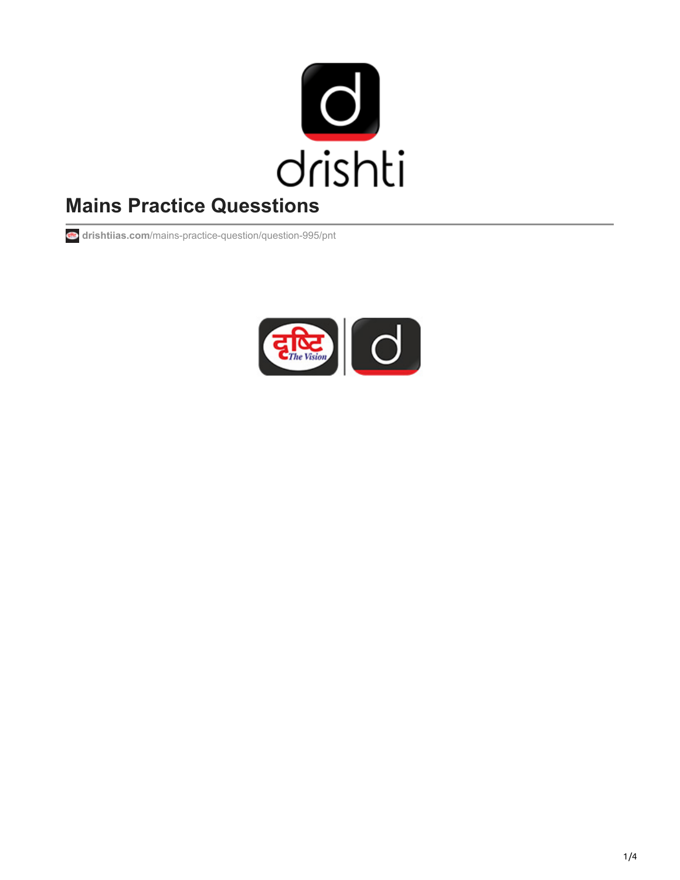

# **Mains Practice Quesstions**

**drishtiias.com**[/mains-practice-question/question-995/pnt](https://www.drishtiias.com/mains-practice-question/question-995/pnt)

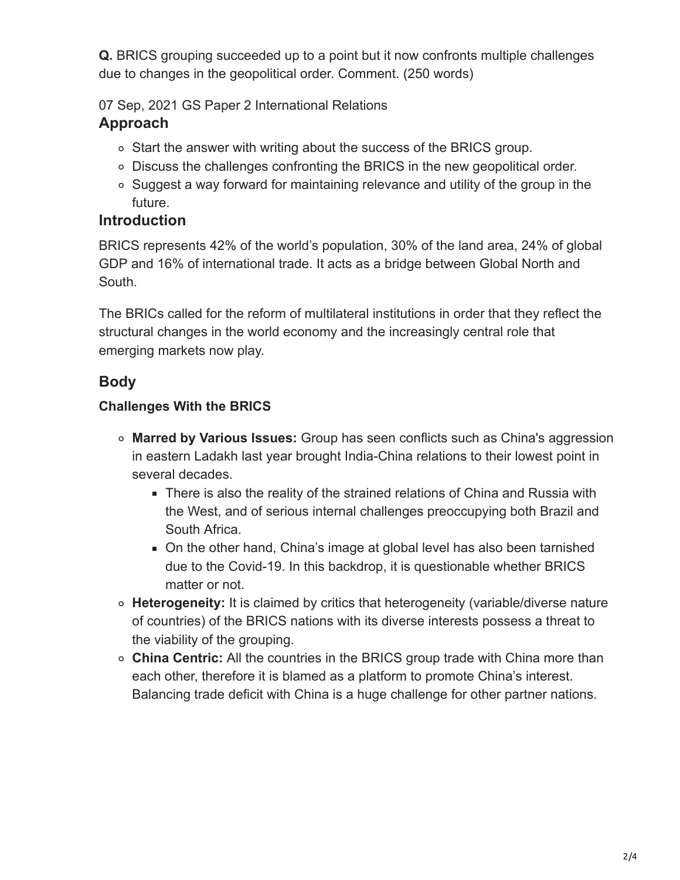**Q.** BRICS grouping succeeded up to a point but it now confronts multiple challenges due to changes in the geopolitical order. Comment. (250 words)

07 Sep, 2021 GS Paper 2 International Relations

## **Approach**

- Start the answer with writing about the success of the BRICS group.
- Discuss the challenges confronting the BRICS in the new geopolitical order.
- Suggest a way forward for maintaining relevance and utility of the group in the future.

### **Introduction**

BRICS represents 42% of the world's population, 30% of the land area, 24% of global GDP and 16% of international trade. It acts as a bridge between Global North and South.

The BRICs called for the reform of multilateral institutions in order that they reflect the structural changes in the world economy and the increasingly central role that emerging markets now play.

## **Body**

#### **Challenges With the BRICS**

- **Marred by Various Issues:** Group has seen conflicts such as China's aggression in eastern Ladakh last year brought India-China relations to their lowest point in several decades.
	- There is also the reality of the strained relations of China and Russia with the West, and of serious internal challenges preoccupying both Brazil and South Africa.
	- On the other hand, China's image at global level has also been tarnished due to the Covid-19. In this backdrop, it is questionable whether BRICS matter or not.
- **Heterogeneity:** It is claimed by critics that heterogeneity (variable/diverse nature of countries) of the BRICS nations with its diverse interests possess a threat to the viability of the grouping.
- **China Centric:** All the countries in the BRICS group trade with China more than each other, therefore it is blamed as a platform to promote China's interest. Balancing trade deficit with China is a huge challenge for other partner nations.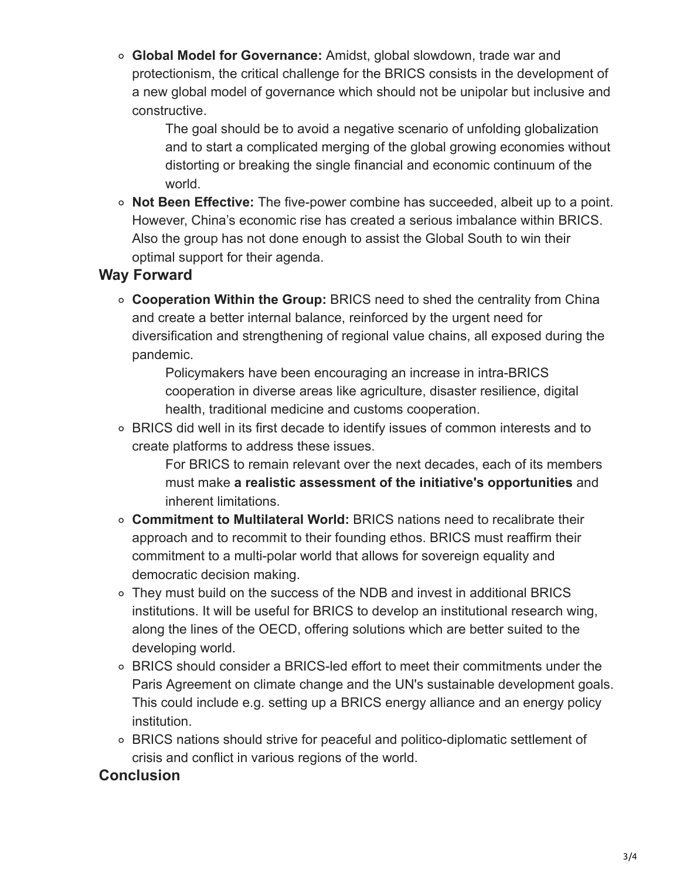**Global Model for Governance:** Amidst, global slowdown, trade war and protectionism, the critical challenge for the BRICS consists in the development of a new global model of governance which should not be unipolar but inclusive and constructive.

The goal should be to avoid a negative scenario of unfolding globalization and to start a complicated merging of the global growing economies without distorting or breaking the single financial and economic continuum of the world.

**Not Been Effective:** The five-power combine has succeeded, albeit up to a point. However, China's economic rise has created a serious imbalance within BRICS. Also the group has not done enough to assist the Global South to win their optimal support for their agenda.

#### **Way Forward**

**Cooperation Within the Group:** BRICS need to shed the centrality from China and create a better internal balance, reinforced by the urgent need for diversification and strengthening of regional value chains, all exposed during the pandemic.

Policymakers have been encouraging an increase in intra-BRICS cooperation in diverse areas like agriculture, disaster resilience, digital health, traditional medicine and customs cooperation.

BRICS did well in its first decade to identify issues of common interests and to create platforms to address these issues.

For BRICS to remain relevant over the next decades, each of its members must make **a realistic assessment of the initiative's opportunities** and inherent limitations.

- **Commitment to Multilateral World:** BRICS nations need to recalibrate their approach and to recommit to their founding ethos. BRICS must reaffirm their commitment to a multi-polar world that allows for sovereign equality and democratic decision making.
- They must build on the success of the NDB and invest in additional BRICS institutions. It will be useful for BRICS to develop an institutional research wing, along the lines of the OECD, offering solutions which are better suited to the developing world.
- BRICS should consider a BRICS-led effort to meet their commitments under the Paris Agreement on climate change and the UN's sustainable development goals. This could include e.g. setting up a BRICS energy alliance and an energy policy institution.
- BRICS nations should strive for peaceful and politico-diplomatic settlement of crisis and conflict in various regions of the world.

#### **Conclusion**